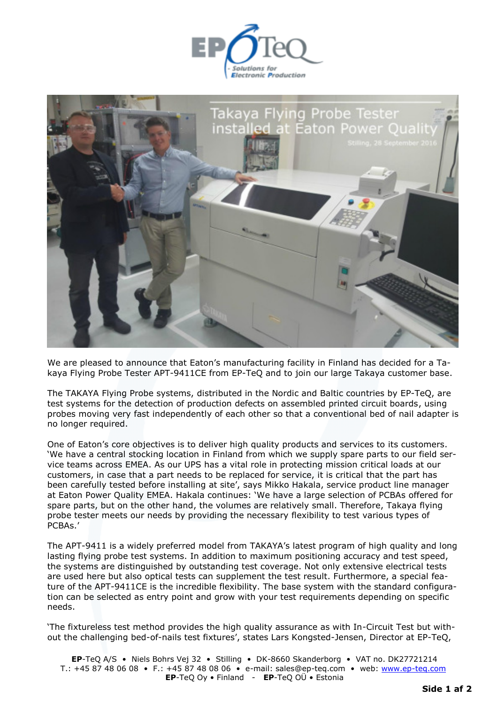



We are pleased to announce that Eaton's manufacturing facility in Finland has decided for a Takaya Flying Probe Tester APT-9411CE from EP-TeQ and to join our large Takaya customer base.

The TAKAYA Flying Probe systems, distributed in the Nordic and Baltic countries by EP-TeQ, are test systems for the detection of production defects on assembled printed circuit boards, using probes moving very fast independently of each other so that a conventional bed of nail adapter is no longer required.

One of Eaton's core objectives is to deliver high quality products and services to its customers. 'We have a central stocking location in Finland from which we supply spare parts to our field service teams across EMEA. As our UPS has a vital role in protecting mission critical loads at our customers, in case that a part needs to be replaced for service, it is critical that the part has been carefully tested before installing at site', says Mikko Hakala, service product line manager at Eaton Power Quality EMEA. Hakala continues: 'We have a large selection of PCBAs offered for spare parts, but on the other hand, the volumes are relatively small. Therefore, Takaya flying probe tester meets our needs by providing the necessary flexibility to test various types of PCBAs.'

The APT-9411 is a widely preferred model from TAKAYA's latest program of high quality and long lasting flying probe test systems. In addition to maximum positioning accuracy and test speed, the systems are distinguished by outstanding test coverage. Not only extensive electrical tests are used here but also optical tests can supplement the test result. Furthermore, a special feature of the APT-9411CE is the incredible flexibility. The base system with the standard configuration can be selected as entry point and grow with your test requirements depending on specific needs.

'The fixtureless test method provides the high quality assurance as with In-Circuit Test but without the challenging bed-of-nails test fixtures', states Lars Kongsted-Jensen, Director at EP-TeQ,

**EP**-TeQ A/S • Niels Bohrs Vej 32 • Stilling • DK-8660 Skanderborg • VAT no. DK27721214 T.: +45 87 48 06 08 • F.: +45 87 48 08 06 • e-mail: sales@ep-teq.com • web: [www.ep-teq.com](http://www.ep-teq.com/) **EP**-TeQ Oy • Finland - **EP**-TeQ OÜ • Estonia